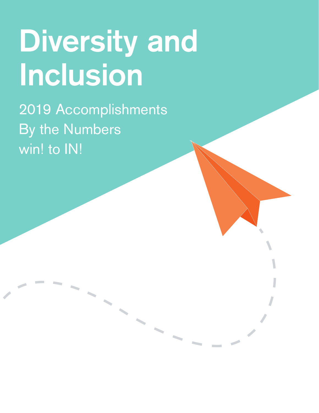# **Diversity and Inclusion**

2019 Accomplishments By the Numbers win! to IN!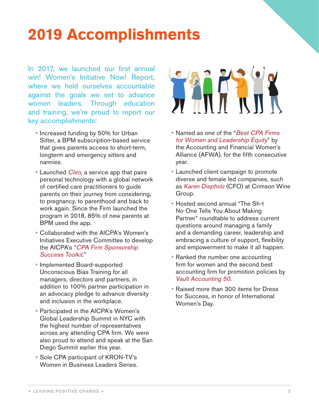### **2019 Accomplishments**

In 2017, we launched our first annual win! Women's Initiative Now! Report, where we held ourselves accountable against the goals we set to advance women leaders. Through education and training, we're proud to report our key accomplishments:

- Increased funding by 50% for Urban Sitter, a BPM subscription-based service that gives parents access to short-term, longterm and emergency sitters and nannies.
- Launched *[Cleo](https://hicleo.com/aboutus/)*, a service app that pairs personal technology with a global network of certified care practitioners to guide parents on their journey from considering, to pregnancy, to parenthood and back to work again. Since the Firm launched the program in 2018, 85% of new parents at BPM used the app.
- y Collaborated with the AICPA's Women's Initiatives Executive Committee to develop the AICPA's "[CPA Firm Sponsorship](https://www.aicpa.org/content/dam/aicpa/career/womenintheprofession/downloadabledocuments/sponsorship-toolkit.pdf)  [Success Toolkit](https://www.aicpa.org/content/dam/aicpa/career/womenintheprofession/downloadabledocuments/sponsorship-toolkit.pdf)."
- Implemented Board-supported Unconscious Bias Training for all managers, directors and partners, in addition to 100% partner participation in an advocacy pledge to advance diversity and inclusion in the workplace.
- Participated in the AICPA's Women's Global Leadership Summit in NYC with the highest number of representatives across any attending CPA firm. We were also proud to attend and speak at the San Diego Summit earlier this year.
- Sole CPA participant of KRON-TV's Women in Business Leaders Series.



- Named as one of the "Best CPA Firms [for Women and Leadership Equity](https://www.bpmcpa.com/News-Events/159102/BPM-Named-Best-CPA-Firm-for-Women-for-Fifth-Consecutive-Year)" by the Accounting and Financial Women's Alliance (AFWA), for the fifth consecutive year.
- Launched client campaign to promote diverse and female led companies, such as [Karen Diepholz](https://youtu.be/tbhOEfMRH9w) (CFO) at Crimson Wine Group.
- y Hosted second annual "The Sh-t No One Tells You About Making Partner" roundtable to address current questions around managing a family and a demanding career, leadership and embracing a culture of support, flexibility and empowerment to make it all happen.
- Ranked the number one accounting firm for women and the second best accounting firm for promotion policies by [Vault Accounting 50](https://www.bpmcpa.com/News-Events/136009/BPM-Named-to-2019-Vault-Accounting-50).
- Raised more than 300 items for Dress for Success, in honor of International Women's Day.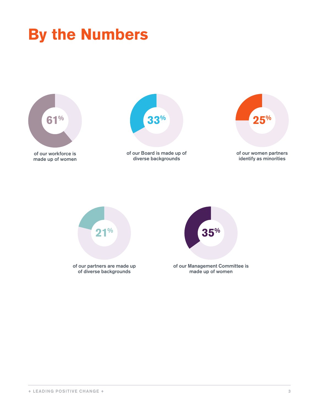## **By the Numbers**



of our workforce is made up of women



of our Board is made up of diverse backgrounds



of our partners are made up of diverse backgrounds **21%**